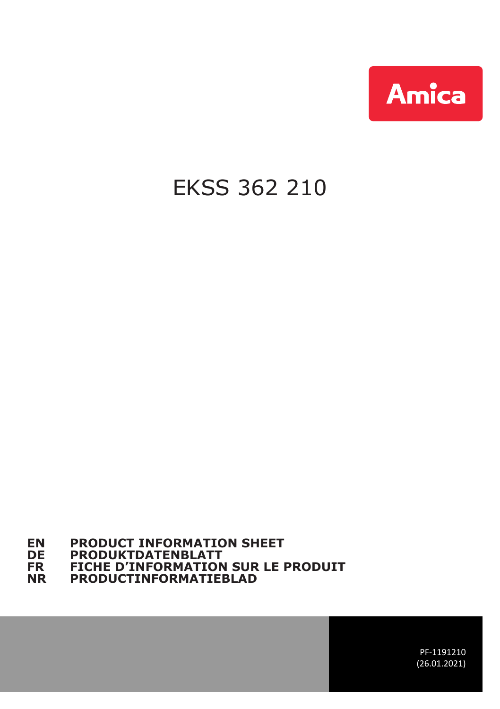

#### EKSS 362 210

#### **EN PRODUCT INFORMATION SHEET DE PRODUKTDATENBLATT FR FICHE D'INFORMATION SUR LE PRODUIT NR PRODUCTINFORMATIEBLAD**

PF-1191210 (26.01.2021)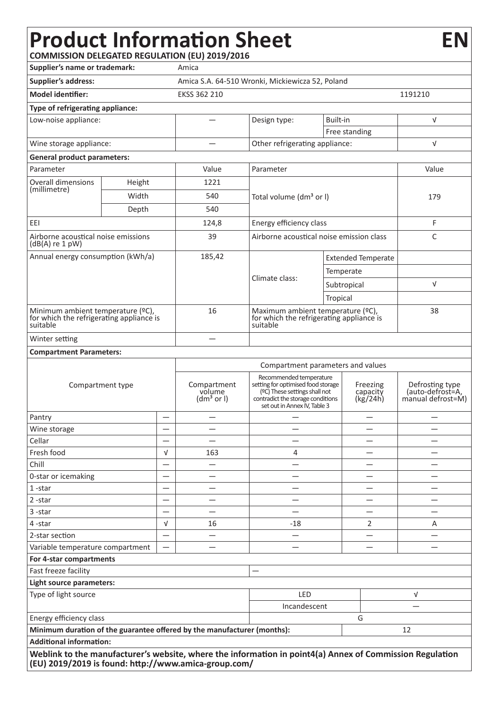## **Product Information Sheet EN COMMISSION DELEGATED REGULATION (EU) 2019/2016**

| Supplier's name or trademark:                                                             |        | Amica                    |                                                      |                                                                                                                                                                     |                           |                                  |                                                          |  |
|-------------------------------------------------------------------------------------------|--------|--------------------------|------------------------------------------------------|---------------------------------------------------------------------------------------------------------------------------------------------------------------------|---------------------------|----------------------------------|----------------------------------------------------------|--|
| Supplier's address:                                                                       |        |                          | Amica S.A. 64-510 Wronki, Mickiewicza 52, Poland     |                                                                                                                                                                     |                           |                                  |                                                          |  |
| Model identifier:                                                                         |        |                          | EKSS 362 210                                         |                                                                                                                                                                     |                           | 1191210                          |                                                          |  |
| Type of refrigerating appliance:                                                          |        |                          |                                                      |                                                                                                                                                                     |                           |                                  |                                                          |  |
| Low-noise appliance:                                                                      |        |                          |                                                      | Design type:                                                                                                                                                        | Built-in                  |                                  | V                                                        |  |
|                                                                                           |        |                          |                                                      |                                                                                                                                                                     |                           | Free standing                    |                                                          |  |
| Wine storage appliance:                                                                   |        |                          |                                                      | Other refrigerating appliance:                                                                                                                                      |                           |                                  | $\sqrt{ }$                                               |  |
| General product parameters:                                                               |        |                          |                                                      |                                                                                                                                                                     |                           |                                  |                                                          |  |
| Parameter                                                                                 |        | Value                    | Parameter                                            |                                                                                                                                                                     |                           | Value                            |                                                          |  |
| Overall dimensions<br>(millimetre)                                                        | Height |                          | 1221                                                 |                                                                                                                                                                     |                           |                                  |                                                          |  |
|                                                                                           | Width  |                          | 540                                                  | Total volume (dm <sup>3</sup> or I)                                                                                                                                 |                           | 179                              |                                                          |  |
|                                                                                           | Depth  |                          | 540                                                  |                                                                                                                                                                     |                           |                                  |                                                          |  |
| EEI                                                                                       |        |                          | 124,8                                                | Energy efficiency class                                                                                                                                             |                           |                                  | F                                                        |  |
|                                                                                           |        |                          | 39                                                   |                                                                                                                                                                     |                           |                                  | C                                                        |  |
| Airborne acoustical noise emissions<br>$(dB(A)$ re 1 pW)                                  |        |                          |                                                      | Airborne acoustical noise emission class                                                                                                                            |                           |                                  |                                                          |  |
| Annual energy consumption (kWh/a)                                                         |        |                          | 185,42                                               |                                                                                                                                                                     | <b>Extended Temperate</b> |                                  |                                                          |  |
|                                                                                           |        |                          |                                                      |                                                                                                                                                                     | Temperate                 |                                  |                                                          |  |
|                                                                                           |        |                          |                                                      | Climate class:                                                                                                                                                      |                           | Subtropical                      | V                                                        |  |
|                                                                                           |        |                          |                                                      |                                                                                                                                                                     | Tropical                  |                                  |                                                          |  |
| Minimum ambient temperature (°C),<br>for which the refrigerating appliance is<br>suitable |        |                          | 16                                                   | Maximum ambient temperature (ºC),<br>for which the refrigerating appliance is<br>suitable                                                                           |                           |                                  | 38                                                       |  |
| Winter setting                                                                            |        |                          |                                                      |                                                                                                                                                                     |                           |                                  |                                                          |  |
| <b>Compartment Parameters:</b>                                                            |        |                          |                                                      |                                                                                                                                                                     |                           |                                  |                                                          |  |
|                                                                                           |        |                          |                                                      | Compartment parameters and values                                                                                                                                   |                           |                                  |                                                          |  |
| Compartment type                                                                          |        |                          | Compartment<br>volume<br>$\dim^3$ or I)              | Recommended temperature<br>setting for optimised food storage<br>(ºC) These settings shall not<br>contradict the storage conditions<br>set out in Annex IV, Table 3 |                           | Freezing<br>capacity<br>(kg/24h) | Defrosting type<br>(auto-defrost=A,<br>manual defrost=M) |  |
| Pantry<br>$\overline{\phantom{a}}$                                                        |        |                          | $\overline{\phantom{0}}$                             | $\overline{\phantom{0}}$                                                                                                                                            |                           | $\overline{\phantom{0}}$         |                                                          |  |
| Wine storage<br>$\overline{\phantom{0}}$                                                  |        |                          | -                                                    | -                                                                                                                                                                   |                           | -                                | -                                                        |  |
| Cellar<br>$\overline{\phantom{0}}$                                                        |        |                          | -                                                    | -                                                                                                                                                                   |                           | -                                |                                                          |  |
| Fresh food<br>$\sqrt{ }$                                                                  |        |                          | 163                                                  | 4                                                                                                                                                                   |                           |                                  |                                                          |  |
| Chill                                                                                     |        |                          |                                                      |                                                                                                                                                                     |                           |                                  |                                                          |  |
| 0-star or icemaking                                                                       |        |                          |                                                      |                                                                                                                                                                     |                           |                                  |                                                          |  |
| $1 - star$<br>$\overline{\phantom{a}}$                                                    |        |                          | $\equiv$                                             | $\equiv$                                                                                                                                                            |                           | $\overline{\phantom{0}}$         | $\equiv$                                                 |  |
| $2 - star$<br>$\overline{\phantom{a}}$                                                    |        |                          |                                                      | -                                                                                                                                                                   |                           |                                  |                                                          |  |
| 3-star                                                                                    |        | $\overline{\phantom{0}}$ |                                                      | $\overline{\phantom{0}}$                                                                                                                                            |                           |                                  |                                                          |  |
| 4-star<br>$\sqrt{ }$                                                                      |        |                          | 16                                                   | $-18$                                                                                                                                                               |                           | 2                                | Α                                                        |  |
| 2-star section                                                                            |        |                          |                                                      |                                                                                                                                                                     |                           |                                  |                                                          |  |
| Variable temperature compartment                                                          |        |                          |                                                      |                                                                                                                                                                     |                           |                                  |                                                          |  |
| For 4-star compartments                                                                   |        |                          |                                                      | L.                                                                                                                                                                  |                           |                                  |                                                          |  |
| Fast freeze facility                                                                      |        |                          |                                                      |                                                                                                                                                                     |                           |                                  |                                                          |  |
| Light source parameters:                                                                  |        |                          |                                                      |                                                                                                                                                                     |                           |                                  |                                                          |  |
| Type of light source                                                                      |        |                          | LED                                                  |                                                                                                                                                                     |                           | V                                |                                                          |  |
| Energy efficiency class                                                                   |        |                          |                                                      | Incandescent<br>G                                                                                                                                                   |                           |                                  |                                                          |  |
| Minimum duration of the guarantee offered by the manufacturer (months):<br>12             |        |                          |                                                      |                                                                                                                                                                     |                           |                                  |                                                          |  |
| <b>Additional information:</b>                                                            |        |                          |                                                      |                                                                                                                                                                     |                           |                                  |                                                          |  |
|                                                                                           |        |                          |                                                      | Weblink to the manufacturer's website, where the information in point4(a) Annex of Commission Regulation                                                            |                           |                                  |                                                          |  |
|                                                                                           |        |                          | (EU) 2019/2019 is found: http://www.amica-group.com/ |                                                                                                                                                                     |                           |                                  |                                                          |  |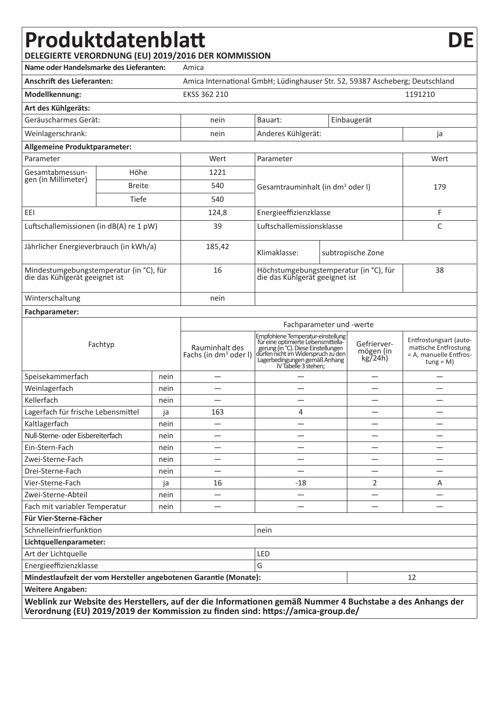### **Produktdatenblatt DE DELEGIERTE VERORDNUNG (EU) 2019/2016 DER KOMMISSION**

| Name oder Handelsmarke des Lieferanten:                                   |               | Amica                                                                        |                                                                                                           |                                                                                                                                                                                                                |                                        |                                     |                                                                                          |  |
|---------------------------------------------------------------------------|---------------|------------------------------------------------------------------------------|-----------------------------------------------------------------------------------------------------------|----------------------------------------------------------------------------------------------------------------------------------------------------------------------------------------------------------------|----------------------------------------|-------------------------------------|------------------------------------------------------------------------------------------|--|
| <b>Anschrift des Lieferanten:</b>                                         |               | Amica International GmbH; Lüdinghauser Str. 52, 59387 Ascheberg; Deutschland |                                                                                                           |                                                                                                                                                                                                                |                                        |                                     |                                                                                          |  |
| Modellkennung:                                                            |               |                                                                              | EKSS 362 210                                                                                              |                                                                                                                                                                                                                |                                        |                                     | 1191210                                                                                  |  |
| Art des Kühlgeräts:                                                       |               |                                                                              |                                                                                                           |                                                                                                                                                                                                                |                                        |                                     |                                                                                          |  |
| Geräuscharmes Gerät:                                                      |               |                                                                              | nein                                                                                                      | Bauart:                                                                                                                                                                                                        | Einbaugerät                            |                                     |                                                                                          |  |
| Weinlagerschrank:                                                         |               |                                                                              | nein                                                                                                      | Anderes Kühlgerät:                                                                                                                                                                                             |                                        |                                     | ja                                                                                       |  |
| Allgemeine Produktparameter:                                              |               |                                                                              |                                                                                                           |                                                                                                                                                                                                                |                                        |                                     |                                                                                          |  |
| Parameter                                                                 |               | Wert                                                                         | Parameter                                                                                                 |                                                                                                                                                                                                                | Wert                                   |                                     |                                                                                          |  |
| Gesamtabmessun-<br>gen (in Millimeter)                                    | Höhe          |                                                                              | 1221                                                                                                      | Gesamtrauminhalt (in dm <sup>3</sup> oder l)                                                                                                                                                                   |                                        |                                     |                                                                                          |  |
|                                                                           | <b>Breite</b> |                                                                              | 540                                                                                                       |                                                                                                                                                                                                                |                                        |                                     | 179                                                                                      |  |
|                                                                           | Tiefe         |                                                                              | 540                                                                                                       |                                                                                                                                                                                                                |                                        |                                     |                                                                                          |  |
| EEI                                                                       |               | 124,8                                                                        | Energieeffizienzklasse                                                                                    |                                                                                                                                                                                                                |                                        | F                                   |                                                                                          |  |
| Luftschallemissionen (in dB(A) re 1 pW)                                   |               |                                                                              | 39                                                                                                        | Luftschallemissionsklasse                                                                                                                                                                                      |                                        |                                     | C                                                                                        |  |
| Jährlicher Energieverbrauch (in kWh/a)                                    |               |                                                                              | 185,42                                                                                                    | Klimaklasse:                                                                                                                                                                                                   | subtropische Zone                      |                                     |                                                                                          |  |
| Mindestumgebungstemperatur (in °C), für<br>die das Kühlgerät geeignet ist |               |                                                                              | 16                                                                                                        | die das Kühlgerät geeignet ist                                                                                                                                                                                 | Höchstumgebungstemperatur (in °C), für |                                     | 38                                                                                       |  |
| Winterschaltung                                                           |               |                                                                              | nein                                                                                                      |                                                                                                                                                                                                                |                                        |                                     |                                                                                          |  |
| Fachparameter:                                                            |               |                                                                              |                                                                                                           |                                                                                                                                                                                                                |                                        |                                     |                                                                                          |  |
|                                                                           |               |                                                                              | Fachparameter und -werte                                                                                  |                                                                                                                                                                                                                |                                        |                                     |                                                                                          |  |
| Fachtyp                                                                   |               |                                                                              | Rauminhalt des<br>Fachs (in dm <sup>3</sup> oder I)                                                       | Empfohlene Temperatur-einstellung<br>für eine optimierte Lebensmittella-<br>gerung (in °C). Diese Einstellungen<br>dürfen nicht im Widerspruch zu den<br>Lagerbedingungen gemäß Anhang<br>IV Tabelle 3 stehen; |                                        | Gefrierver-<br>mögen (in<br>kg/24h) | Entfrostungsart (auto-<br>matische Entfrostung<br>= A, manuelle Entfros-<br>$tung = M$ ) |  |
| Speisekammerfach                                                          |               | nein                                                                         |                                                                                                           | -                                                                                                                                                                                                              |                                        |                                     | $\overline{\phantom{0}}$                                                                 |  |
| Weinlagerfach                                                             |               | nein                                                                         |                                                                                                           |                                                                                                                                                                                                                |                                        |                                     |                                                                                          |  |
| Kellerfach                                                                |               | nein                                                                         | -                                                                                                         |                                                                                                                                                                                                                |                                        |                                     |                                                                                          |  |
| Lagerfach für frische Lebensmittel                                        |               | ja                                                                           | 163                                                                                                       | 4                                                                                                                                                                                                              |                                        |                                     |                                                                                          |  |
| Kaltlagerfach                                                             |               | nein                                                                         | $\overline{\phantom{0}}$                                                                                  | $\qquad \qquad$                                                                                                                                                                                                |                                        | –                                   | $\overline{\phantom{0}}$                                                                 |  |
| Null-Sterne- oder Eisbereiterfach                                         |               | nein                                                                         |                                                                                                           |                                                                                                                                                                                                                |                                        |                                     | -                                                                                        |  |
| Ein-Stern-Fach                                                            |               | nein                                                                         | $\overline{\phantom{0}}$                                                                                  | $\overline{\phantom{0}}$                                                                                                                                                                                       |                                        |                                     | $\overline{\phantom{0}}$                                                                 |  |
| Zwei-Sterne-Fach                                                          |               | nein                                                                         |                                                                                                           | -                                                                                                                                                                                                              |                                        |                                     | -                                                                                        |  |
| Drei-Sterne-Fach                                                          |               | nein                                                                         |                                                                                                           |                                                                                                                                                                                                                |                                        |                                     |                                                                                          |  |
| Vier-Sterne-Fach                                                          |               | ja                                                                           | 16                                                                                                        | $-18$                                                                                                                                                                                                          |                                        | 2                                   | Α                                                                                        |  |
| Zwei-Sterne-Abteil<br>nein                                                |               |                                                                              | $\overline{\phantom{0}}$                                                                                  |                                                                                                                                                                                                                |                                        | $\overline{\phantom{a}}$            | -                                                                                        |  |
| Fach mit variabler Temperatur<br>nein                                     |               |                                                                              |                                                                                                           |                                                                                                                                                                                                                |                                        |                                     |                                                                                          |  |
| Für Vier-Sterne-Fächer                                                    |               |                                                                              |                                                                                                           |                                                                                                                                                                                                                |                                        |                                     |                                                                                          |  |
| Schnelleinfrierfunktion                                                   |               |                                                                              |                                                                                                           | nein                                                                                                                                                                                                           |                                        |                                     |                                                                                          |  |
| Lichtquellenparameter:<br>Art der Lichtquelle                             |               |                                                                              |                                                                                                           | LED                                                                                                                                                                                                            |                                        |                                     |                                                                                          |  |
| Energieeffizienzklasse                                                    |               |                                                                              |                                                                                                           | G                                                                                                                                                                                                              |                                        |                                     |                                                                                          |  |
| Mindestlaufzeit der vom Hersteller angebotenen Garantie (Monate):         |               |                                                                              |                                                                                                           |                                                                                                                                                                                                                |                                        |                                     | 12                                                                                       |  |
| <b>Weitere Angaben:</b>                                                   |               |                                                                              |                                                                                                           |                                                                                                                                                                                                                |                                        |                                     |                                                                                          |  |
|                                                                           |               |                                                                              | Weblink zur Website des Herstellers, auf der die Informationen gemäß Nummer 4 Buchstabe a des Anhangs der |                                                                                                                                                                                                                |                                        |                                     |                                                                                          |  |
|                                                                           |               |                                                                              |                                                                                                           | $\overline{\phantom{a}}$                                                                                                                                                                                       |                                        |                                     |                                                                                          |  |

**Verordnung (EU) 2019/2019 der Kommission zu finden sind: https://amica-group.de/**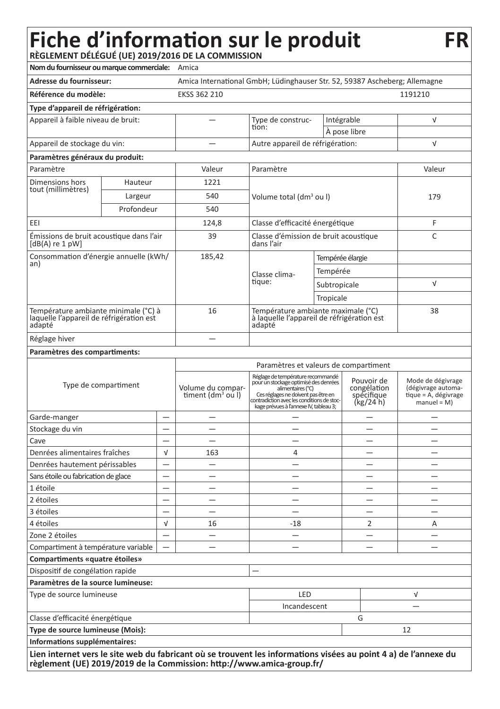#### **Fiche d'information sur le produit**

**RÈGLEMENT DÉLÉGUÉ (UE) 2019/2016 DE LA COMMISSION Nom du fournisseur ou marque commerciale:** Amica **Adresse du fournisseur:** Amica International GmbH; Lüdinghauser Str. 52, 59387 Ascheberg; Allemagne **Référence du modèle:** EKSS 362 210 **Type d'appareil de réfrigération:** Appareil à faible niveau de bruit:  $-$  Type de construc-Intégrable √ À pose libre Appareil de stockage du vin: — Autre appareil de réfrigération: √ **Paramètres généraux du produit:** Paramètre Valeur Paramètre Valeur Dimensions hors tout (millimètres) Hauteur 1221 Largeur 540 Volume total (dm<sup>3</sup> ou l) 179 Profondeur 1540 EEI 124,8 Classe d'efficacité énergétique F Émissions de bruit acoustique dans l'air [dB(A) re 1 pW] 39 Classe d'émission de bruit acoustique dans l'air  $\Gamma$ Consommation d'énergie annuelle (kWh/ an) 185,42 Classe clima-<br>tique: Tempérée élargie Tempérée Subtropicale √ Tropicale Température ambiante minimale (°C) à laquelle l'appareil de réfrigération est adapté 16 Température ambiante maximale (°C) à laquelle l'appareil de réfrigération est adapté 38 Réglage hiver **Paramètres des compartiments:** Type de compartiment Paramètres et valeurs de compartiment Volume du compar-<br>timent (dm<sup>3</sup> ou l) Réglage de température recommandé pour un stockage optimisé des denrées alimentaires (°C)<br>Ces réglages ne doivent pas être en Ces réglages ne doivent pas être en contradiction avec les conditions de stoc- kage prévues à l'annexe IV, tableau 3; Pouvoir de congélation spécifique (kg/24 h) Mode de dégivrage<br>(dégivrage automa- $\frac{d}{dx}$  tique = A, dégivrage manuel = M) Garde-manger  $|-|$   $|$   $|$   $|$   $|$   $|$   $-$ Stockage du vin Cave  $|-|$   $|$   $|$   $|$   $|$   $|$   $|$   $|$   $-$ Denrées alimentaires fraîches ∴  $\vert \sqrt{ } \vert$  163 → 4 Denrées hautement périssables  $|-|$  — — Sans étoile ou fabrication de glace 1 étoile — — — — — 2 étoiles — — — — — 3 étoiles | - | — — | — | — 4 étoiles √ 16 -18 2 A Zone 2 étoiles — — — — — Compartiment à température variable — — — — — **Compartiments «quatre étoiles»** Dispositif de congélation rapide **Paramètres de la source lumineuse:** Type de source lumineuse  $\sqrt{2}$ Incandescent — Classe d'efficacité énergétique G **Type de source lumineuse (Mois):** 12 **Informations supplémentaires:**

**Lien internet vers le site web du fabricant où se trouvent les informations visées au point 4 a) de l'annexe du règlement (UE) 2019/2019 de la Commission: http://www.amica-group.fr/**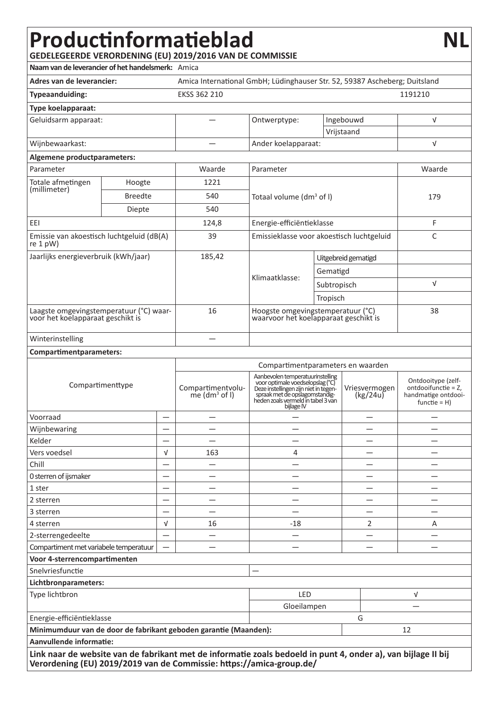# **Productinformatieblad NL GEDELEGEERDE VERORDENING (EU) 2019/2016 VAN DE COMMISSIE**

| Naam van de leverancier of het handelsmerk: Amica                            |                |                          |                                                                                                               |                                                                                                                                                                                                     |             |                           |                                                                                  |  |
|------------------------------------------------------------------------------|----------------|--------------------------|---------------------------------------------------------------------------------------------------------------|-----------------------------------------------------------------------------------------------------------------------------------------------------------------------------------------------------|-------------|---------------------------|----------------------------------------------------------------------------------|--|
| Adres van de leverancier:                                                    |                |                          | Amica International GmbH; Lüdinghauser Str. 52, 59387 Ascheberg; Duitsland                                    |                                                                                                                                                                                                     |             |                           |                                                                                  |  |
| Typeaanduiding:                                                              |                |                          | EKSS 362 210                                                                                                  |                                                                                                                                                                                                     |             |                           | 1191210                                                                          |  |
| Type koelapparaat:                                                           |                |                          |                                                                                                               |                                                                                                                                                                                                     |             |                           |                                                                                  |  |
| Geluidsarm apparaat:                                                         |                |                          |                                                                                                               | Ontwerptype:                                                                                                                                                                                        |             | Ingebouwd                 | V                                                                                |  |
|                                                                              |                |                          |                                                                                                               |                                                                                                                                                                                                     |             |                           |                                                                                  |  |
| Wijnbewaarkast:                                                              |                |                          |                                                                                                               | Vrijstaand<br>Ander koelapparaat:                                                                                                                                                                   |             |                           | V                                                                                |  |
| Algemene productparameters:                                                  |                |                          |                                                                                                               |                                                                                                                                                                                                     |             |                           |                                                                                  |  |
| Parameter                                                                    |                | Waarde                   | Parameter                                                                                                     |                                                                                                                                                                                                     |             | Waarde                    |                                                                                  |  |
| Totale afmetingen                                                            | Hoogte         |                          | 1221                                                                                                          |                                                                                                                                                                                                     |             |                           |                                                                                  |  |
| (millimeter)                                                                 | <b>Breedte</b> |                          | 540                                                                                                           | Totaal volume (dm <sup>3</sup> of I)                                                                                                                                                                |             |                           | 179                                                                              |  |
|                                                                              | Diepte         |                          | 540                                                                                                           |                                                                                                                                                                                                     |             |                           |                                                                                  |  |
|                                                                              |                |                          |                                                                                                               |                                                                                                                                                                                                     |             |                           |                                                                                  |  |
| EEI                                                                          |                |                          | 124,8                                                                                                         | Energie-efficiëntieklasse                                                                                                                                                                           |             |                           | F                                                                                |  |
| Emissie van akoestisch luchtgeluid (dB(A)<br>re 1 pW)                        |                |                          | 39                                                                                                            | Emissieklasse voor akoestisch luchtgeluid                                                                                                                                                           |             |                           | C                                                                                |  |
| Jaarlijks energieverbruik (kWh/jaar)                                         |                |                          | 185,42                                                                                                        |                                                                                                                                                                                                     |             | Uitgebreid gematigd       |                                                                                  |  |
|                                                                              |                |                          |                                                                                                               |                                                                                                                                                                                                     | Gematigd    |                           |                                                                                  |  |
|                                                                              |                |                          |                                                                                                               | Klimaatklasse:                                                                                                                                                                                      | Subtropisch |                           | V                                                                                |  |
|                                                                              |                |                          |                                                                                                               |                                                                                                                                                                                                     | Tropisch    |                           |                                                                                  |  |
| Laagste omgevingstemperatuur (°C) waar-<br>voor het koelapparaat geschikt is |                |                          | 16                                                                                                            | Hoogste omgevingstemperatuur (°C)<br>waarvoor het koelapparaat geschikt is                                                                                                                          |             |                           | 38                                                                               |  |
| Winterinstelling                                                             |                |                          |                                                                                                               |                                                                                                                                                                                                     |             |                           |                                                                                  |  |
| Compartimentparameters:                                                      |                |                          |                                                                                                               |                                                                                                                                                                                                     |             |                           |                                                                                  |  |
|                                                                              |                |                          |                                                                                                               | Compartimentparameters en waarden                                                                                                                                                                   |             |                           |                                                                                  |  |
| Compartimenttype                                                             |                |                          | Compartimentvolu-<br>me $(dm3$ of I)                                                                          | Aanbevolen temperatuurinstelling<br>voor optimale voedselopslag (°C)<br>Deze instellingen zijn niet in tegen-<br>spraak met de opslagomstandig-<br>heden zoals vermeld in tabel 3 van<br>bijlage IV |             | Vriesvermogen<br>(kg/24u) | Ontdooitype (zelf-<br>ontdooifunctie = Z,<br>handmatige ontdooi-<br>functie = H) |  |
| Voorraad                                                                     |                | $\overline{\phantom{0}}$ |                                                                                                               |                                                                                                                                                                                                     |             |                           | $\overline{\phantom{0}}$                                                         |  |
| Wijnbewaring                                                                 |                |                          | -                                                                                                             | $\qquad \qquad$                                                                                                                                                                                     |             | -                         | -                                                                                |  |
| Kelder                                                                       |                |                          |                                                                                                               |                                                                                                                                                                                                     |             |                           |                                                                                  |  |
| Vers voedsel                                                                 |                | V                        | 163                                                                                                           | 4                                                                                                                                                                                                   |             |                           |                                                                                  |  |
| Chill                                                                        |                | $\overline{\phantom{a}}$ | $\equiv$                                                                                                      | $\equiv$                                                                                                                                                                                            |             |                           |                                                                                  |  |
| 0 sterren of ijsmaker                                                        |                | -                        |                                                                                                               |                                                                                                                                                                                                     |             |                           |                                                                                  |  |
| 1 ster                                                                       |                | -                        |                                                                                                               |                                                                                                                                                                                                     |             |                           |                                                                                  |  |
| 2 sterren                                                                    |                |                          |                                                                                                               |                                                                                                                                                                                                     |             |                           |                                                                                  |  |
| 3 sterren                                                                    |                |                          | $\overline{\phantom{0}}$                                                                                      | $\overline{\phantom{0}}$                                                                                                                                                                            |             | $\overline{\phantom{a}}$  | $\overline{\phantom{0}}$                                                         |  |
| 4 sterren                                                                    |                | $\sqrt{ }$               | 16                                                                                                            | $-18$                                                                                                                                                                                               |             | 2                         | Α                                                                                |  |
| 2-sterrengedeelte                                                            |                | $\overline{\phantom{0}}$ |                                                                                                               | $\overline{\phantom{0}}$                                                                                                                                                                            |             | $\overline{\phantom{0}}$  | $\overline{\phantom{0}}$                                                         |  |
| Compartiment met variabele temperatuur                                       |                |                          |                                                                                                               |                                                                                                                                                                                                     |             |                           |                                                                                  |  |
| Voor 4-sterrencompartimenten                                                 |                |                          |                                                                                                               |                                                                                                                                                                                                     |             |                           |                                                                                  |  |
| Snelvriesfunctie                                                             |                |                          |                                                                                                               |                                                                                                                                                                                                     |             |                           |                                                                                  |  |
| Lichtbronparameters:                                                         |                |                          |                                                                                                               |                                                                                                                                                                                                     |             |                           |                                                                                  |  |
| Type lichtbron                                                               |                |                          | LED<br>Gloeilampen                                                                                            |                                                                                                                                                                                                     |             |                           | V                                                                                |  |
|                                                                              |                |                          |                                                                                                               |                                                                                                                                                                                                     |             |                           |                                                                                  |  |
| Energie-efficiëntieklasse                                                    |                |                          |                                                                                                               |                                                                                                                                                                                                     |             | G                         |                                                                                  |  |
| Minimumduur van de door de fabrikant geboden garantie (Maanden):             |                |                          |                                                                                                               |                                                                                                                                                                                                     |             |                           | 12                                                                               |  |
| Aanvullende informatie:                                                      |                |                          |                                                                                                               |                                                                                                                                                                                                     |             |                           |                                                                                  |  |
| Verordening (EU) 2019/2019 van de Commissie: https://amica-group.de/         |                |                          | Link naar de website van de fabrikant met de informatie zoals bedoeld in punt 4, onder a), van bijlage II bij |                                                                                                                                                                                                     |             |                           |                                                                                  |  |